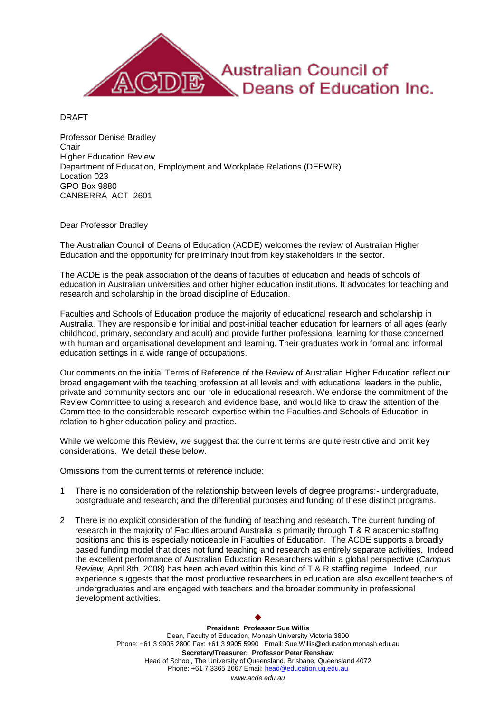

DRAFT

Professor Denise Bradley **Chair** Higher Education Review Department of Education, Employment and Workplace Relations (DEEWR) Location 023 GPO Box 9880 CANBERRA ACT 2601

## Dear Professor Bradley

The Australian Council of Deans of Education (ACDE) welcomes the review of Australian Higher Education and the opportunity for preliminary input from key stakeholders in the sector.

The ACDE is the peak association of the deans of faculties of education and heads of schools of education in Australian universities and other higher education institutions. It advocates for teaching and research and scholarship in the broad discipline of Education.

Faculties and Schools of Education produce the majority of educational research and scholarship in Australia. They are responsible for initial and post-initial teacher education for learners of all ages (early childhood, primary, secondary and adult) and provide further professional learning for those concerned with human and organisational development and learning. Their graduates work in formal and informal education settings in a wide range of occupations.

Our comments on the initial Terms of Reference of the Review of Australian Higher Education reflect our broad engagement with the teaching profession at all levels and with educational leaders in the public, private and community sectors and our role in educational research. We endorse the commitment of the Review Committee to using a research and evidence base, and would like to draw the attention of the Committee to the considerable research expertise within the Faculties and Schools of Education in relation to higher education policy and practice.

While we welcome this Review, we suggest that the current terms are quite restrictive and omit key considerations. We detail these below.

Omissions from the current terms of reference include:

- 1 There is no consideration of the relationship between levels of degree programs:- undergraduate, postgraduate and research; and the differential purposes and funding of these distinct programs.
- 2 There is no explicit consideration of the funding of teaching and research. The current funding of research in the majority of Faculties around Australia is primarily through T & R academic staffing positions and this is especially noticeable in Faculties of Education. The ACDE supports a broadly based funding model that does not fund teaching and research as entirely separate activities. Indeed the excellent performance of Australian Education Researchers within a global perspective (*Campus Review,* April 8th, 2008) has been achieved within this kind of T & R staffing regime. Indeed, our experience suggests that the most productive researchers in education are also excellent teachers of undergraduates and are engaged with teachers and the broader community in professional development activities.